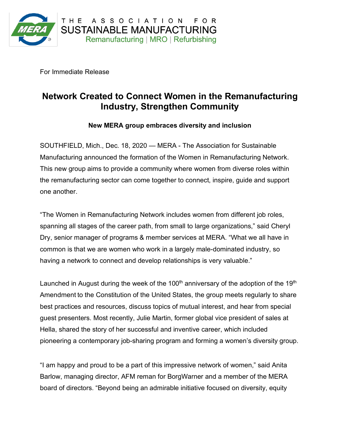

For Immediate Release

## **Network Created to Connect Women in the Remanufacturing Industry, Strengthen Community**

## **New MERA group embraces diversity and inclusion**

SOUTHFIELD, Mich., Dec. 18, 2020 — MERA - The Association for Sustainable Manufacturing announced the formation of the Women in Remanufacturing Network. This new group aims to provide a community where women from diverse roles within the remanufacturing sector can come together to connect, inspire, guide and support one another.

"The Women in Remanufacturing Network includes women from different job roles, spanning all stages of the career path, from small to large organizations," said Cheryl Dry, senior manager of programs & member services at MERA. "What we all have in common is that we are women who work in a largely male-dominated industry, so having a network to connect and develop relationships is very valuable."

Launched in August during the week of the 100<sup>th</sup> anniversary of the adoption of the 19<sup>th</sup> Amendment to the Constitution of the United States, the group meets regularly to share best practices and resources, discuss topics of mutual interest, and hear from special guest presenters. Most recently, Julie Martin, former global vice president of sales at Hella, shared the story of her successful and inventive career, which included pioneering a contemporary job-sharing program and forming a women's diversity group.

"I am happy and proud to be a part of this impressive network of women," said Anita Barlow, managing director, AFM reman for BorgWarner and a member of the MERA board of directors. "Beyond being an admirable initiative focused on diversity, equity